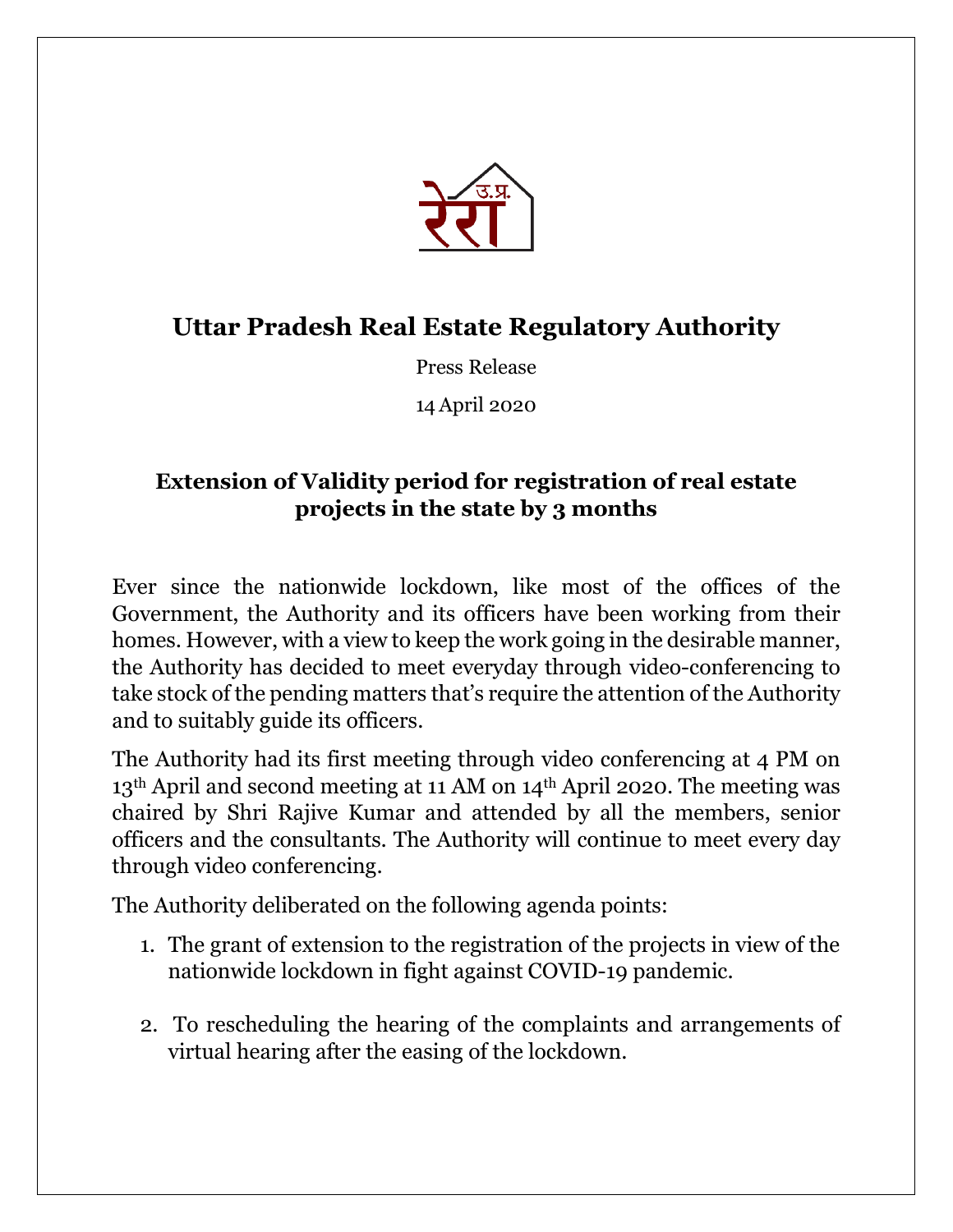

## **Uttar Pradesh Real Estate Regulatory Authority**

Press Release

14April 2020

## **Extension of Validity period for registration of real estate projects in the state by 3 months**

Ever since the nationwide lockdown, like most of the offices of the Government, the Authority and its officers have been working from their homes. However, with a view to keep the work going in the desirable manner, the Authority has decided to meet everyday through video-conferencing to take stock of the pending matters that's require the attention of the Authority and to suitably guide its officers.

The Authority had its first meeting through video conferencing at 4 PM on 13th April and second meeting at 11 AM on 14th April 2020. The meeting was chaired by Shri Rajive Kumar and attended by all the members, senior officers and the consultants. The Authority will continue to meet every day through video conferencing.

The Authority deliberated on the following agenda points:

- 1. The grant of extension to the registration of the projects in view of the nationwide lockdown in fight against COVID-19 pandemic.
- 2. To rescheduling the hearing of the complaints and arrangements of virtual hearing after the easing of the lockdown.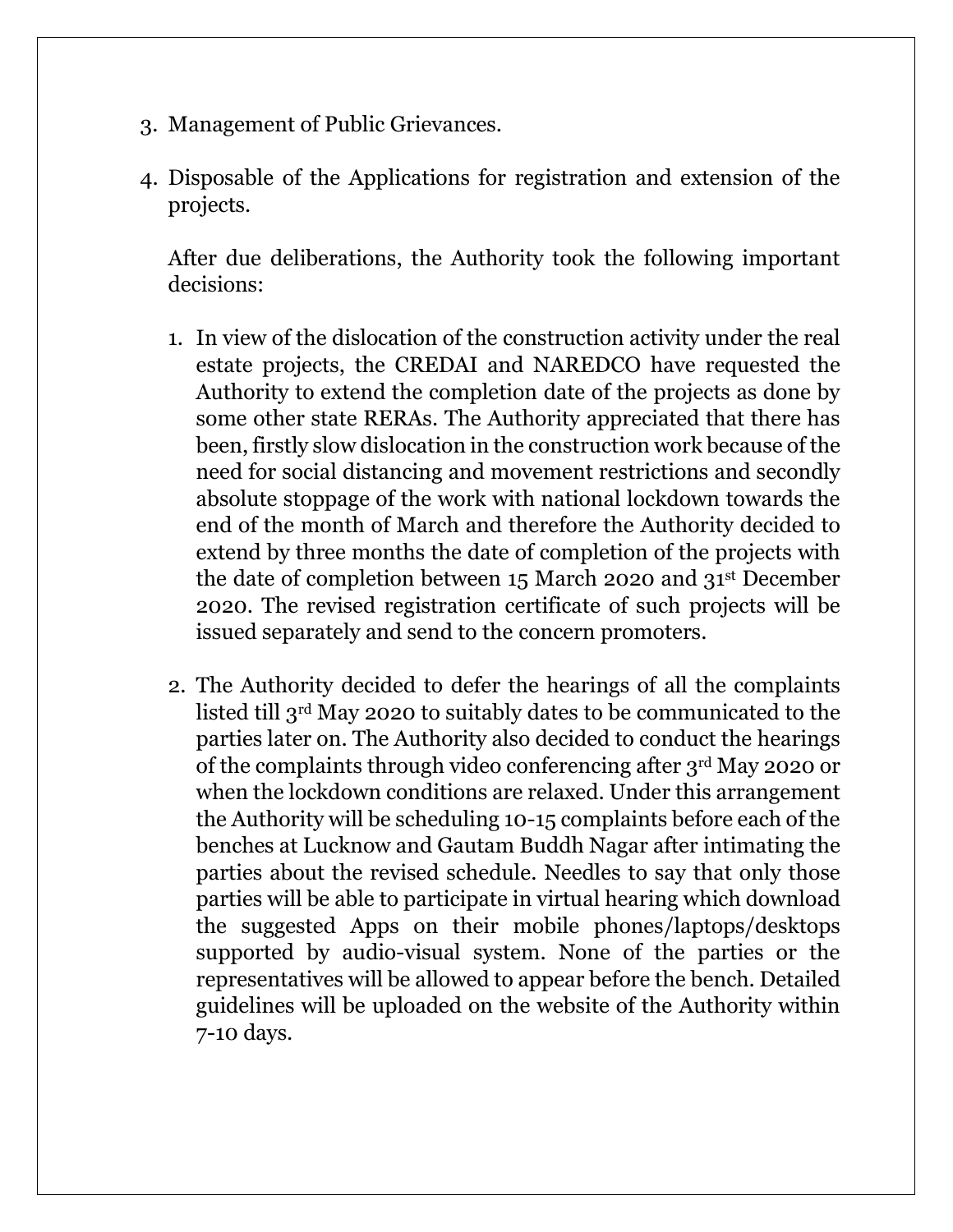- 3. Management of Public Grievances.
- 4. Disposable of the Applications for registration and extension of the projects.

After due deliberations, the Authority took the following important decisions:

- 1. In view of the dislocation of the construction activity under the real estate projects, the CREDAI and NAREDCO have requested the Authority to extend the completion date of the projects as done by some other state RERAs. The Authority appreciated that there has been, firstly slow dislocation in the construction work because of the need for social distancing and movement restrictions and secondly absolute stoppage of the work with national lockdown towards the end of the month of March and therefore the Authority decided to extend by three months the date of completion of the projects with the date of completion between 15 March 2020 and 31st December 2020. The revised registration certificate of such projects will be issued separately and send to the concern promoters.
- 2. The Authority decided to defer the hearings of all the complaints listed till 3rd May 2020 to suitably dates to be communicated to the parties later on. The Authority also decided to conduct the hearings of the complaints through video conferencing after 3rd May 2020 or when the lockdown conditions are relaxed. Under this arrangement the Authority will be scheduling 10-15 complaints before each of the benches at Lucknow and Gautam Buddh Nagar after intimating the parties about the revised schedule. Needles to say that only those parties will be able to participate in virtual hearing which download the suggested Apps on their mobile phones/laptops/desktops supported by audio-visual system. None of the parties or the representatives will be allowed to appear before the bench. Detailed guidelines will be uploaded on the website of the Authority within 7-10 days.